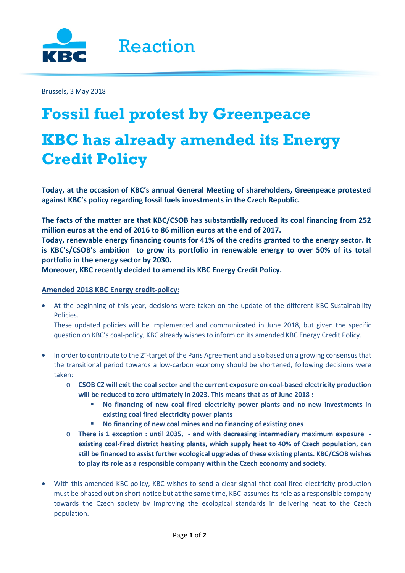

Brussels, 3 May 2018

## **Fossil fuel protest by Greenpeace KBC has already amended its Energy Credit Policy**

**Today, at the occasion of KBC's annual General Meeting of shareholders, Greenpeace protested against KBC's policy regarding fossil fuels investments in the Czech Republic.**

**The facts of the matter are that KBC/CSOB has substantially reduced its coal financing from 252 million euros at the end of 2016 to 86 million euros at the end of 2017.**

**Today, renewable energy financing counts for 41% of the credits granted to the energy sector. It is KBC's/CSOB's ambition to grow its portfolio in renewable energy to over 50% of its total portfolio in the energy sector by 2030.**

**Moreover, KBC recently decided to amend its KBC Energy Credit Policy.**

## **Amended 2018 KBC Energy credit-policy**:

• At the beginning of this year, decisions were taken on the update of the different KBC Sustainability Policies.

These updated policies will be implemented and communicated in June 2018, but given the specific question on KBC's coal-policy, KBC already wishes to inform on its amended KBC Energy Credit Policy.

- In order to contribute to the 2°-target of the Paris Agreement and also based on a growing consensus that the transitional period towards a low-carbon economy should be shortened, following decisions were taken:
	- o **CSOB CZ will exit the coal sector and the current exposure on coal-based electricity production will be reduced to zero ultimately in 2023. This means that as of June 2018 :** 
		- **No financing of new coal fired electricity power plants and no new investments in existing coal fired electricity power plants**
		- **No financing of new coal mines and no financing of existing ones**
	- o **There is 1 exception : until 2035, - and with decreasing intermediary maximum exposure existing coal-fired district heating plants, which supply heat to 40% of Czech population, can still be financed to assist further ecological upgrades of these existing plants. KBC/CSOB wishes to play its role as a responsible company within the Czech economy and society.**
- With this amended KBC-policy, KBC wishes to send a clear signal that coal-fired electricity production must be phased out on short notice but at the same time, KBC assumes its role as a responsible company towards the Czech society by improving the ecological standards in delivering heat to the Czech population.